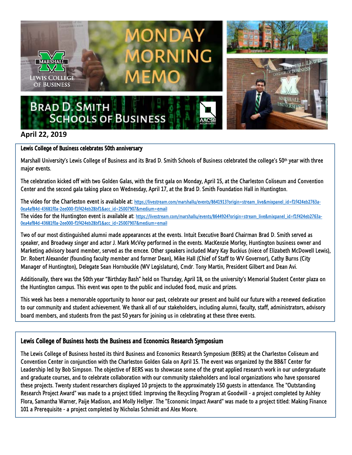

## **April 22, 2019**

## Lewis College of Business celebrates 50th anniversary

Marshall University's Lewis College of Business and its Brad D. Smith Schools of Business celebrated the college's 50th year with three major events.

The celebration kicked off with two Golden Galas, with the first gala on Monday, April 15, at the Charleston Coliseum and Convention Center and the second gala taking place on Wednesday, April 17, at the Brad D. Smith Foundation Hall in Huntington.

The video for the Charleston event is available at[: https://livestream.com/marshallu/events/8641913?origin=stream\\_live&mixpanel\\_id=f1f424eb2763a-](https://livestream.com/marshallu/events/8641913?origin=stream_live&mixpanel_id=f1f424eb2763a-0ea4af84d-43681f0a-2ee000-f1f424eb28bf1&acc_id=25007907&medium=email)[0ea4af84d-43681f0a-2ee000-f1f424eb28bf1&acc\\_id=25007907&medium=email](https://livestream.com/marshallu/events/8641913?origin=stream_live&mixpanel_id=f1f424eb2763a-0ea4af84d-43681f0a-2ee000-f1f424eb28bf1&acc_id=25007907&medium=email)

The video for the Huntington event is available at: [https://livestream.com/marshallu/events/8644924?origin=stream\\_live&mixpanel\\_id=f1f424eb2763a-](https://livestream.com/marshallu/events/8644924?origin=stream_live&mixpanel_id=f1f424eb2763a-0ea4af84d-43681f0a-2ee000-f1f424eb28bf1&acc_id=25007907&medium=email)[0ea4af84d-43681f0a-2ee000-f1f424eb28bf1&acc\\_id=25007907&medium=email](https://livestream.com/marshallu/events/8644924?origin=stream_live&mixpanel_id=f1f424eb2763a-0ea4af84d-43681f0a-2ee000-f1f424eb28bf1&acc_id=25007907&medium=email)

Two of our most distinguished alumni made appearances at the events. Intuit Executive Board Chairman Brad D. Smith served as speaker, and Broadway singer and actor J. Mark McVey performed in the events. MacKenzie Morley, Huntington business owner and Marketing advisory board member, served as the emcee. Other speakers included Mary Kay Buckius (niece of Elizabeth McDowell Lewis), Dr. Robert Alexander (founding faculty member and former Dean), Mike Hall (Chief of Staff to WV Governor), Cathy Burns (City Manager of Huntington), Delegate Sean Hornbuckle (WV Legislature), Cmdr. Tony Martin, President Gilbert and Dean Avi.

Additionally, there was the 50th year "Birthday Bash" held on Thursday, April 18, on the university's Memorial Student Center plaza on the Huntington campus. This event was open to the public and included food, music and prizes.

This week has been a memorable opportunity to honor our past, celebrate our present and build our future with a renewed dedication to our community and student achievement. We thank all of our stakeholders, including alumni, faculty, staff, administrators, advisory board members, and students from the past 50 years for joining us in celebrating at these three events.

## Lewis College of Business hosts the Business and Economics Research Symposium

The Lewis College of Business hosted its third Business and Economics Research Symposium (BERS) at the Charleston Coliseum and Convention Center in conjunction with the Charleston Golden Gala on April 15. The event was organized by the BB&T Center for Leadership led by Bob Simpson. The objective of BERS was to showcase some of the great applied research work in our undergraduate and graduate courses, and to celebrate collaboration with our community stakeholders and local organizations who have sponsored these projects. Twenty student researchers displayed 10 projects to the approximately 150 guests in attendance. The "Outstanding Research Project Award" was made to a project titled: Improving the Recycling Program at Goodwill - a project completed by Ashley Flora, Samantha Warner, Paije Madison, and Molly Hellyer. The "Economic Impact Award" was made to a project titled: Making Finance 101 a Prerequisite - a project completed by Nicholas Schmidt and Alex Moore.